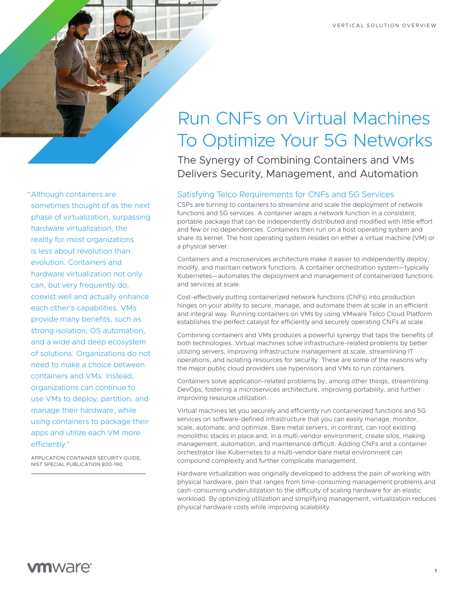

"Although containers are sometimes thought of as the next phase of virtualization, surpassing hardware virtualization, the reality for most organizations is less about revolution than evolution. Containers and hardware virtualization not only can, but very frequently do, coexist well and actually enhance each other's capabilities. VMs provide many benefits, such as strong isolation, OS automation, and a wide and deep ecosystem of solutions. Organizations do not need to make a choice between containers and VMs. Instead, organizations can continue to use VMs to deploy, partition, and manage their hardware, while using containers to package their apps and utilize each VM more efficiently."

APPLICATION CONTAINER SECURITY GUIDE, NIST SPECIAL PUBLICATION 800-190

# Run CNFs on Virtual Machines To Optimize Your 5G Networks

The Synergy of Combining Containers and VMs Delivers Security, Management, and Automation

# Satisfying Telco Requirements for CNFs and 5G Services

CSPs are turning to containers to streamline and scale the deployment of network functions and 5G services. A container wraps a network function in a consistent, portable package that can be independently distributed and modified with little effort and few or no dependencies. Containers then run on a host operating system and share its kernel. The host operating system resides on either a virtual machine (VM) or a physical server.

Containers and a microservices architecture make it easier to independently deploy, modify, and maintain network functions. A container orchestration system—typically Kubernetes—automates the deployment and management of containerized functions and services at scale.

Cost-effectively putting containerized network functions (CNFs) into production hinges on your ability to secure, manage, and automate them at scale in an efficient and integral way. Running containers on VMs by using VMware Telco Cloud Platform establishes the perfect catalyst for efficiently and securely operating CNFs at scale.

Combining containers and VMs produces a powerful synergy that taps the benefits of both technologies. Virtual machines solve infrastructure-related problems by better utilizing servers, improving infrastructure management at scale, streamlining IT operations, and isolating resources for security. These are some of the reasons why the major public cloud providers use hypervisors and VMs to run containers.

Containers solve application-related problems by, among other things, streamlining DevOps, fostering a microservices architecture, improving portability, and further improving resource utilization.

Virtual machines let you securely and efficiently run containerized functions and 5G services on software-defined infrastructure that you can easily manage, monitor, scale, automate, and optimize. Bare metal servers, in contrast, can root existing monolithic stacks in place and, in a multi-vendor environment, create silos, making management, automation, and maintenance difficult. Adding CNFs and a container orchestrator like Kubernetes to a multi-vendor bare metal environment can compound complexity and further complicate management.

Hardware virtualization was originally developed to address the pain of working with physical hardware, pain that ranges from time-consuming management problems and cash-consuming underutilization to the difficulty of scaling hardware for an elastic workload. By optimizing utilization and simplifying management, virtualization reduces physical hardware costs while improving scalability.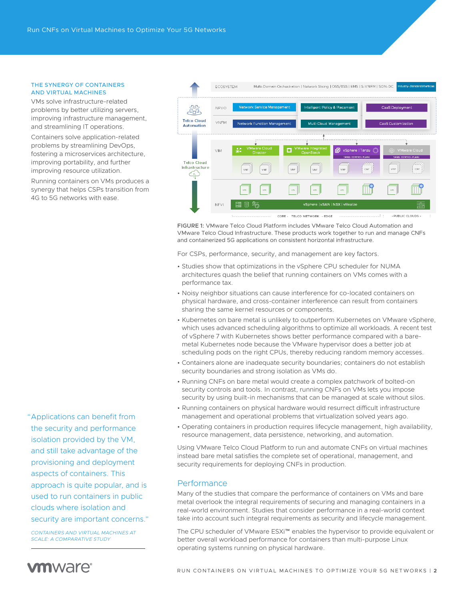#### THE SYNERGY OF CONTAINERS AND VIRTUAL MACHINES

VMs solve infrastructure-related problems by better utilizing servers, improving infrastructure management, and streamlining IT operations.

Containers solve application-related problems by streamlining DevOps, fostering a microservices architecture, improving portability, and further improving resource utilization.

Running containers on VMs produces a synergy that helps CSPs transition from 4G to 5G networks with ease.

"Applications can benefit from the security and performance isolation provided by the VM, and still take advantage of the provisioning and deployment aspects of containers. This approach is quite popular, and is used to run containers in public clouds where isolation and security are important concerns."

*[CONTAINERS AND VIRTUAL MACHINES AT](http://dx.doi.org/10.1145/2988336.2988337)  [SCALE: A COMPARATIVE STUDY](http://dx.doi.org/10.1145/2988336.2988337)*



FIGURE 1: VMware Telco Cloud Platform includes VMware Telco Cloud Automation and VMware Telco Cloud Infrastructure. These products work together to run and manage CNFs and containerized 5G applications on consistent horizontal infrastructure.

For CSPs, performance, security, and management are key factors.

- Studies show that optimizations in the vSphere CPU scheduler for NUMA architectures quash the belief that running containers on VMs comes with a performance tax.
- Noisy neighbor situations can cause interference for co-located containers on physical hardware, and cross-container interference can result from containers sharing the same kernel resources or components.
- Kubernetes on bare metal is unlikely to outperform Kubernetes on VMware vSphere, which uses advanced scheduling algorithms to optimize all workloads. A recent test of vSphere 7 with Kubernetes shows better performance compared with a baremetal Kubernetes node because the VMware hypervisor does a better job at scheduling pods on the right CPUs, thereby reducing random memory accesses.
- Containers alone are inadequate security boundaries; containers do not establish security boundaries and strong isolation as VMs do.
- Running CNFs on bare metal would create a complex patchwork of bolted-on security controls and tools. In contrast, running CNFs on VMs lets you impose security by using built-in mechanisms that can be managed at scale without silos.
- Running containers on physical hardware would resurrect difficult infrastructure management and operational problems that virtualization solved years ago.
- Operating containers in production requires lifecycle management, high availability, resource management, data persistence, networking, and automation.

Using VMware Telco Cloud Platform to run and automate CNFs on virtual machines instead bare metal satisfies the complete set of operational, management, and security requirements for deploying CNFs in production.

# **Performance**

Many of the studies that compare the performance of containers on VMs and bare metal overlook the integral requirements of securing and managing containers in a real-world environment. Studies that consider performance in a real-world context take into account such integral requirements as security and lifecycle management.

The CPU scheduler of VMware ESXi™ enables the hypervisor to provide equivalent or better overall workload performance for containers than multi-purpose Linux operating systems running on physical hardware.

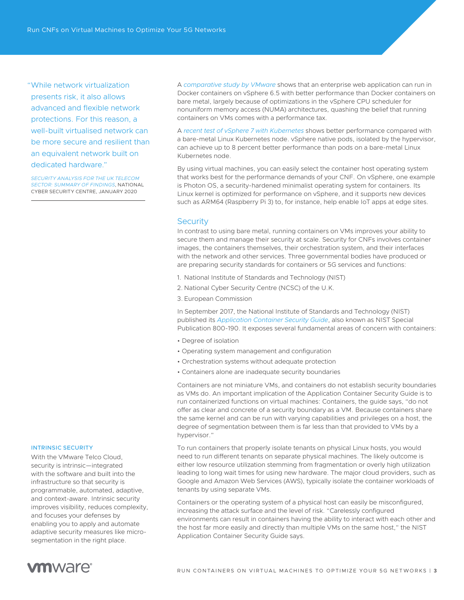"While network virtualization presents risk, it also allows advanced and flexible network protections. For this reason, a well-built virtualised network can be more secure and resilient than an equivalent network built on dedicated hardware."

*[SECURITY ANALYSIS FOR THE UK TELECOM](https://www.ncsc.gov.uk/report/summary-of-ncsc-security-analysis-for-the-uk-telecoms-sector)  [SECTOR: SUMMARY OF FINDINGS](https://www.ncsc.gov.uk/report/summary-of-ncsc-security-analysis-for-the-uk-telecoms-sector)*, NATIONAL CYBER SECURITY CENTRE, JANUARY 2020

A *[comparative study by VMware](https://www.vmware.com/content/dam/digitalmarketing/vmware/en/pdf/techpaper/performance/docker-vsphere65-weathervane-perf.pdf)* shows that an enterprise web application can run in Docker containers on vSphere 6.5 with better performance than Docker containers on bare metal, largely because of optimizations in the vSphere CPU scheduler for nonuniform memory access (NUMA) architectures, quashing the belief that running containers on VMs comes with a performance tax.

A *[recent test of vSphere 7 with Kubernetes](https://blogs.vmware.com/performance/2019/10/how-does-project-pacific-deliver-8-better-performance-than-bare-metal.html)* shows better performance compared with a bare-metal Linux Kubernetes node. vSphere native pods, isolated by the hypervisor, can achieve up to 8 percent better performance than pods on a bare-metal Linux Kubernetes node.

By using virtual machines, you can easily select the container host operating system that works best for the performance demands of your CNF. On vSphere, one example is Photon OS, a security-hardened minimalist operating system for containers. Its Linux kernel is optimized for performance on vSphere, and it supports new devices such as ARM64 (Raspberry Pi 3) to, for instance, help enable IoT apps at edge sites.

#### **Security**

In contrast to using bare metal, running containers on VMs improves your ability to secure them and manage their security at scale. Security for CNFs involves container images, the containers themselves, their orchestration system, and their interfaces with the network and other services. Three governmental bodies have produced or are preparing security standards for containers or 5G services and functions:

- 1. National Institute of Standards and Technology (NIST)
- 2. National Cyber Security Centre (NCSC) of the U.K.
- 3. European Commission

In September 2017, the National Institute of Standards and Technology (NIST) published its *[Application Container Security Guide](https://doi.org/10.6028/NIST.SP.800-190)*, also known as NIST Special Publication 800-190. It exposes several fundamental areas of concern with containers:

- Degree of isolation
- Operating system management and configuration
- Orchestration systems without adequate protection
- Containers alone are inadequate security boundaries

Containers are not miniature VMs, and containers do not establish security boundaries as VMs do. An important implication of the Application Container Security Guide is to run containerized functions on virtual machines: Containers, the guide says, "do not offer as clear and concrete of a security boundary as a VM. Because containers share the same kernel and can be run with varying capabilities and privileges on a host, the degree of segmentation between them is far less than that provided to VMs by a hypervisor."

To run containers that properly isolate tenants on physical Linux hosts, you would need to run different tenants on separate physical machines. The likely outcome is either low resource utilization stemming from fragmentation or overly high utilization leading to long wait times for using new hardware. The major cloud providers, such as Google and Amazon Web Services (AWS), typically isolate the container workloads of tenants by using separate VMs.

Containers or the operating system of a physical host can easily be misconfigured, increasing the attack surface and the level of risk. "Carelessly configured environments can result in containers having the ability to interact with each other and the host far more easily and directly than multiple VMs on the same host," the NIST Application Container Security Guide says.

#### INTRINSIC SECURITY

With the VMware Telco Cloud, security is intrinsic—integrated with the software and built into the infrastructure so that security is programmable, automated, adaptive, and context-aware. Intrinsic security improves visibility, reduces complexity, and focuses your defenses by enabling you to apply and automate adaptive security measures like microsegmentation in the right place.

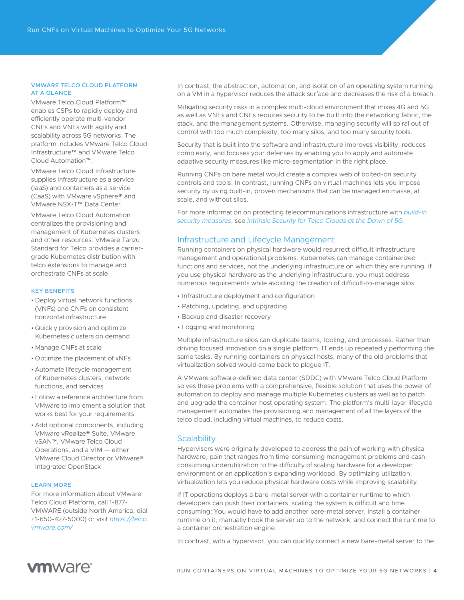#### VMWARE TELCO CLOUD PLATFORM AT A GLANCE

VMware Telco Cloud Platform™ enables CSPs to rapidly deploy and efficiently operate multi-vendor CNFs and VNFs with agility and scalability across 5G networks. The platform includes VMware Telco Cloud Infrastructure™ and VMware Telco Cloud Automation™.

VMware Telco Cloud Infrastructure supplies infrastructure as a service (IaaS) and containers as a service (CaaS) with VMware vSphere® and VMware NSX-T™ Data Center.

VMware Telco Cloud Automation centralizes the provisioning and management of Kubernetes clusters and other resources. VMware Tanzu Standard for Telco provides a carriergrade Kubernetes distribution with telco extensions to manage and orchestrate CNFs at scale.

#### KEY BENEFITS

- Deploy virtual network functions (VNFs) and CNFs on consistent horizontal infrastructure
- Quickly provision and optimize Kubernetes clusters on demand
- Manage CNFs at scale
- Optimize the placement of xNFs
- Automate lifecycle management of Kubernetes clusters, network functions, and services
- Follow a reference architecture from VMware to implement a solution that works best for your requirements
- Add optional components, including VMware vRealize® Suite, VMware vSAN™, VMware Telco Cloud Operations, and a VIM — either VMware Cloud Director or VMware® Integrated OpenStack

#### LEARN MORE

For more information about VMware Telco Cloud Platform, call 1-877- VMWARE (outside North America, dial +1-650-427-5000) or visit *[https://telco.](http://telco.vmware.com/) [vmware.com/](http://telco.vmware.com/)*

In contrast, the abstraction, automation, and isolation of an operating system running on a VM in a hypervisor reduces the attack surface and decreases the risk of a breach.

Mitigating security risks in a complex multi-cloud environment that mixes 4G and 5G as well as VNFs and CNFs requires security to be built into the networking fabric, the stack, and the management systems. Otherwise, managing security will spiral out of control with too much complexity, too many silos, and too many security tools.

Security that is built into the software and infrastructure improves visibility, reduces complexity, and focuses your defenses by enabling you to apply and automate adaptive security measures like micro-segmentation in the right place.

Running CNFs on bare metal would create a complex web of bolted-on security controls and tools. In contrast, running CNFs on virtual machines lets you impose security by using built-in, proven mechanisms that can be managed en masse, at scale, and without silos.

For more information on protecting telecommunications infrastructure with *[build-in](https://telco.vmware.com/content/dam/digitalmarketing/vmware/en/pdf/microsites/telco/vmware-telco-security-solution-overview.pdf)  [security measures](https://telco.vmware.com/content/dam/digitalmarketing/vmware/en/pdf/microsites/telco/vmware-telco-security-solution-overview.pdf)*, see *[Intrinsic Security for Telco Clouds at the Dawn of 5G](https://telco.vmware.com/content/dam/digitalmarketing/vmware/en/pdf/microsites/telco/vmware-telco-security-whitepapers.pdf)*.

## Infrastructure and Lifecycle Management

Running containers on physical hardware would resurrect difficult infrastructure management and operational problems. Kubernetes can manage containerized functions and services, not the underlying infrastructure on which they are running. If you use physical hardware as the underlying infrastructure, you must address numerous requirements while avoiding the creation of difficult-to-manage silos:

- Infrastructure deployment and configuration
- Patching, updating, and upgrading
- Backup and disaster recovery
- Logging and monitoring

Multiple infrastructure silos can duplicate teams, tooling, and processes. Rather than driving focused innovation on a single platform, IT ends up repeatedly performing the same tasks. By running containers on physical hosts, many of the old problems that virtualization solved would come back to plague IT.

A VMware software-defined data center (SDDC) with VMware Telco Cloud Platform solves these problems with a comprehensive, flexible solution that uses the power of automation to deploy and manage multiple Kubernetes clusters as well as to patch and upgrade the container host operating system. The platform's multi-layer lifecycle management automates the provisioning and management of all the layers of the telco cloud, including virtual machines, to reduce costs.

#### **Scalability**

Hypervisors were originally developed to address the pain of working with physical hardware, pain that ranges from time-consuming management problems and cashconsuming underutilization to the difficulty of scaling hardware for a developer environment or an application's expanding workload. By optimizing utilization, virtualization lets you reduce physical hardware costs while improving scalability.

If IT operations deploys a bare-metal server with a container runtime to which developers can push their containers, scaling the system is difficult and time consuming: You would have to add another bare-metal server, install a container runtime on it, manually hook the server up to the network, and connect the runtime to a container orchestration engine.

In contrast, with a hypervisor, you can quickly connect a new bare-metal server to the

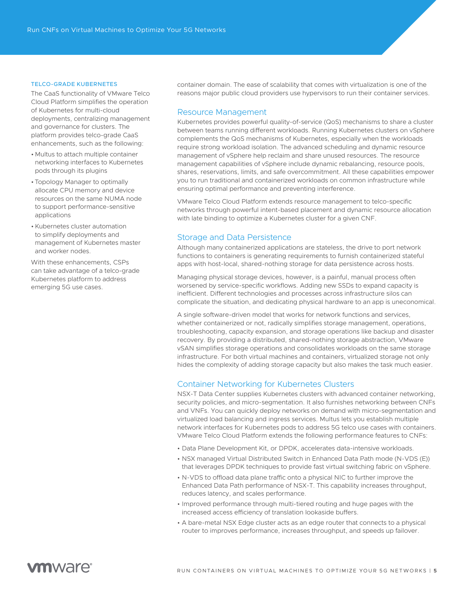#### TELCO-GRADE KUBERNETES

The CaaS functionality of VMware Telco Cloud Platform simplifies the operation of Kubernetes for multi-cloud deployments, centralizing management and governance for clusters. The platform provides telco-grade CaaS enhancements, such as the following:

- Multus to attach multiple container networking interfaces to Kubernetes pods through its plugins
- Topology Manager to optimally allocate CPU memory and device resources on the same NUMA node to support performance-sensitive applications
- •Kubernetes cluster automation to simplify deployments and management of Kubernetes master and worker nodes.

With these enhancements, CSPs can take advantage of a telco-grade Kubernetes platform to address emerging 5G use cases.

container domain. The ease of scalability that comes with virtualization is one of the reasons major public cloud providers use hypervisors to run their container services.

# Resource Management

Kubernetes provides powerful quality-of-service (QoS) mechanisms to share a cluster between teams running different workloads. Running Kubernetes clusters on vSphere complements the QoS mechanisms of Kubernetes, especially when the workloads require strong workload isolation. The advanced scheduling and dynamic resource management of vSphere help reclaim and share unused resources. The resource management capabilities of vSphere include dynamic rebalancing, resource pools, shares, reservations, limits, and safe overcommitment. All these capabilities empower you to run traditional and containerized workloads on common infrastructure while ensuring optimal performance and preventing interference.

VMware Telco Cloud Platform extends resource management to telco-specific networks through powerful intent-based placement and dynamic resource allocation with late binding to optimize a Kubernetes cluster for a given CNF.

# Storage and Data Persistence

Although many containerized applications are stateless, the drive to port network functions to containers is generating requirements to furnish containerized stateful apps with host-local, shared-nothing storage for data persistence across hosts.

Managing physical storage devices, however, is a painful, manual process often worsened by service-specific workflows. Adding new SSDs to expand capacity is inefficient. Different technologies and processes across infrastructure silos can complicate the situation, and dedicating physical hardware to an app is uneconomical.

A single software-driven model that works for network functions and services, whether containerized or not, radically simplifies storage management, operations, troubleshooting, capacity expansion, and storage operations like backup and disaster recovery. By providing a distributed, shared-nothing storage abstraction, VMware vSAN simplifies storage operations and consolidates workloads on the same storage infrastructure. For both virtual machines and containers, virtualized storage not only hides the complexity of adding storage capacity but also makes the task much easier.

# Container Networking for Kubernetes Clusters

NSX-T Data Center supplies Kubernetes clusters with advanced container networking, security policies, and micro-segmentation. It also furnishes networking between CNFs and VNFs. You can quickly deploy networks on demand with micro-segmentation and virtualized load balancing and ingress services. Multus lets you establish multiple network interfaces for Kubernetes pods to address 5G telco use cases with containers. VMware Telco Cloud Platform extends the following performance features to CNFs:

- Data Plane Development Kit, or DPDK, accelerates data-intensive workloads.
- NSX managed Virtual Distributed Switch in Enhanced Data Path mode (N-VDS (E)) that leverages DPDK techniques to provide fast virtual switching fabric on vSphere.
- N-VDS to offload data plane traffic onto a physical NIC to further improve the Enhanced Data Path performance of NSX-T. This capability increases throughput, reduces latency, and scales performance.
- Improved performance through multi-tiered routing and huge pages with the increased access efficiency of translation lookaside buffers.
- A bare-metal NSX Edge cluster acts as an edge router that connects to a physical router to improves performance, increases throughput, and speeds up failover.